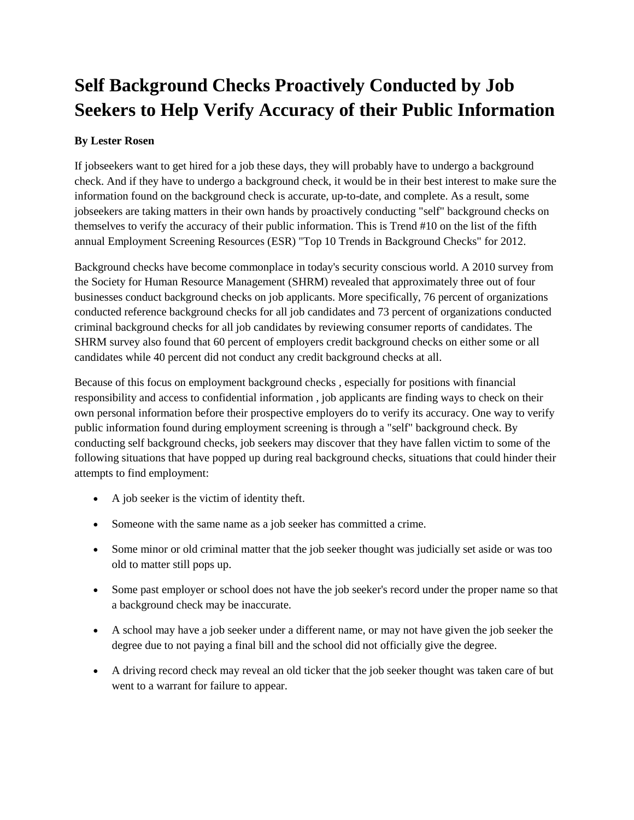## **Self Background Checks Proactively Conducted by Job Seekers to Help Verify Accuracy of their Public Information**

## **By Lester Rosen**

If jobseekers want to get hired for a job these days, they will probably have to undergo a background check. And if they have to undergo a background check, it would be in their best interest to make sure the information found on the background check is accurate, up-to-date, and complete. As a result, some jobseekers are taking matters in their own hands by proactively conducting "self" background checks on themselves to verify the accuracy of their public information. This is Trend #10 on the list of the fifth annual Employment Screening Resources (ESR) "Top 10 Trends in Background Checks" for 2012.

Background checks have become commonplace in today's security conscious world. A 2010 survey from the Society for Human Resource Management (SHRM) revealed that approximately three out of four businesses conduct background checks on job applicants. More specifically, 76 percent of organizations conducted reference background checks for all job candidates and 73 percent of organizations conducted criminal background checks for all job candidates by reviewing consumer reports of candidates. The SHRM survey also found that 60 percent of employers credit background checks on either some or all candidates while 40 percent did not conduct any credit background checks at all.

Because of this focus on employment background checks , especially for positions with financial responsibility and access to confidential information , job applicants are finding ways to check on their own personal information before their prospective employers do to verify its accuracy. One way to verify public information found during employment screening is through a "self" background check. By conducting self background checks, job seekers may discover that they have fallen victim to some of the following situations that have popped up during real background checks, situations that could hinder their attempts to find employment:

- A job seeker is the victim of identity theft.
- Someone with the same name as a job seeker has committed a crime.
- Some minor or old criminal matter that the job seeker thought was judicially set aside or was too old to matter still pops up.
- Some past employer or school does not have the job seeker's record under the proper name so that a background check may be inaccurate.
- A school may have a job seeker under a different name, or may not have given the job seeker the degree due to not paying a final bill and the school did not officially give the degree.
- A driving record check may reveal an old ticker that the job seeker thought was taken care of but went to a warrant for failure to appear.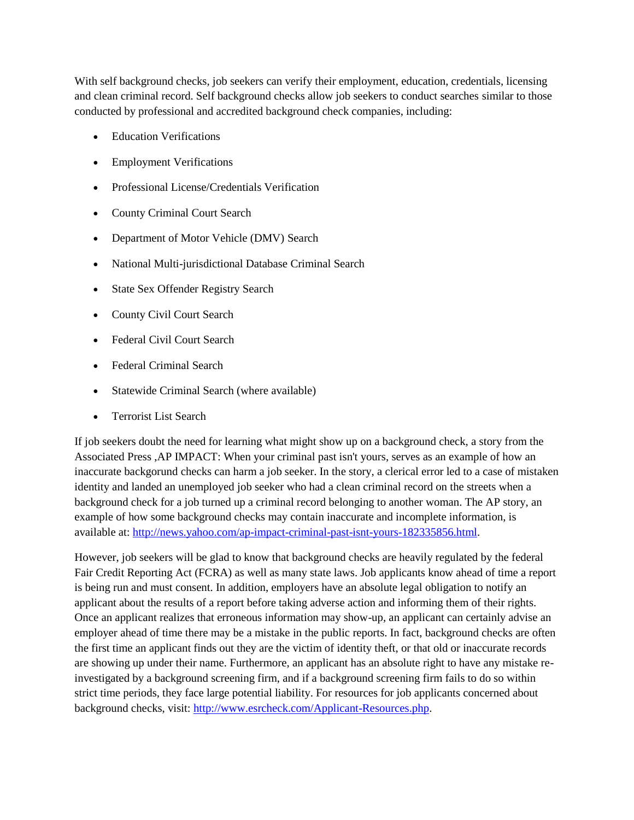With self background checks, job seekers can verify their employment, education, credentials, licensing and clean criminal record. Self background checks allow job seekers to conduct searches similar to those conducted by professional and accredited background check companies, including:

- Education Verifications
- Employment Verifications
- Professional License/Credentials Verification
- County Criminal Court Search
- Department of Motor Vehicle (DMV) Search
- National Multi-jurisdictional Database Criminal Search
- State Sex Offender Registry Search
- County Civil Court Search
- Federal Civil Court Search
- Federal Criminal Search
- Statewide Criminal Search (where available)
- Terrorist List Search

If job seekers doubt the need for learning what might show up on a background check, a story from the Associated Press ,AP IMPACT: When your criminal past isn't yours, serves as an example of how an inaccurate backgorund checks can harm a job seeker. In the story, a clerical error led to a case of mistaken identity and landed an unemployed job seeker who had a clean criminal record on the streets when a background check for a job turned up a criminal record belonging to another woman. The AP story, an example of how some background checks may contain inaccurate and incomplete information, is available at: [http://news.yahoo.com/ap-impact-criminal-past-isnt-yours-182335856.html.](http://news.yahoo.com/ap-impact-criminal-past-isnt-yours-182335856.html)

However, job seekers will be glad to know that background checks are heavily regulated by the federal Fair Credit Reporting Act (FCRA) as well as many state laws. Job applicants know ahead of time a report is being run and must consent. In addition, employers have an absolute legal obligation to notify an applicant about the results of a report before taking adverse action and informing them of their rights. Once an applicant realizes that erroneous information may show-up, an applicant can certainly advise an employer ahead of time there may be a mistake in the public reports. In fact, background checks are often the first time an applicant finds out they are the victim of identity theft, or that old or inaccurate records are showing up under their name. Furthermore, an applicant has an absolute right to have any mistake reinvestigated by a background screening firm, and if a background screening firm fails to do so within strict time periods, they face large potential liability. For resources for job applicants concerned about background checks, visit: [http://www.esrcheck.com/Applicant-Resources.php.](http://www.esrcheck.com/Applicant-Resources.php)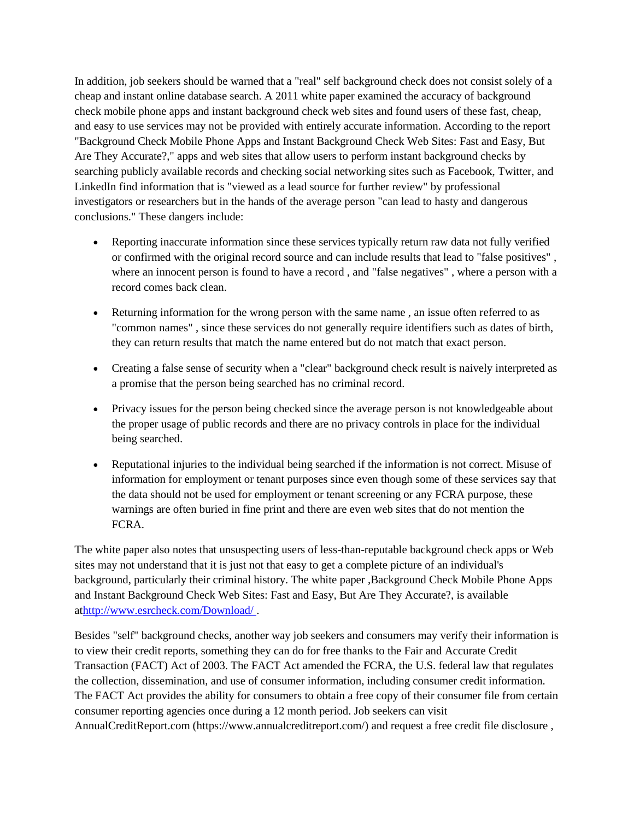In addition, job seekers should be warned that a "real" self background check does not consist solely of a cheap and instant online database search. A 2011 white paper examined the accuracy of background check mobile phone apps and instant background check web sites and found users of these fast, cheap, and easy to use services may not be provided with entirely accurate information. According to the report "Background Check Mobile Phone Apps and Instant Background Check Web Sites: Fast and Easy, But Are They Accurate?," apps and web sites that allow users to perform instant background checks by searching publicly available records and checking social networking sites such as Facebook, Twitter, and LinkedIn find information that is "viewed as a lead source for further review" by professional investigators or researchers but in the hands of the average person "can lead to hasty and dangerous conclusions." These dangers include:

- Reporting inaccurate information since these services typically return raw data not fully verified or confirmed with the original record source and can include results that lead to "false positives" , where an innocent person is found to have a record , and "false negatives" , where a person with a record comes back clean.
- Returning information for the wrong person with the same name , an issue often referred to as "common names" , since these services do not generally require identifiers such as dates of birth, they can return results that match the name entered but do not match that exact person.
- Creating a false sense of security when a "clear" background check result is naively interpreted as a promise that the person being searched has no criminal record.
- Privacy issues for the person being checked since the average person is not knowledgeable about the proper usage of public records and there are no privacy controls in place for the individual being searched.
- Reputational injuries to the individual being searched if the information is not correct. Misuse of information for employment or tenant purposes since even though some of these services say that the data should not be used for employment or tenant screening or any FCRA purpose, these warnings are often buried in fine print and there are even web sites that do not mention the FCRA.

The white paper also notes that unsuspecting users of less-than-reputable background check apps or Web sites may not understand that it is just not that easy to get a complete picture of an individual's background, particularly their criminal history. The white paper ,Background Check Mobile Phone Apps and Instant Background Check Web Sites: Fast and Easy, But Are They Accurate?, is available a[thttp://www.esrcheck.com/Download/](http://www.esrcheck.com/Download) .

Besides "self" background checks, another way job seekers and consumers may verify their information is to view their credit reports, something they can do for free thanks to the Fair and Accurate Credit Transaction (FACT) Act of 2003. The FACT Act amended the FCRA, the U.S. federal law that regulates the collection, dissemination, and use of consumer information, including consumer credit information. The FACT Act provides the ability for consumers to obtain a free copy of their consumer file from certain consumer reporting agencies once during a 12 month period. Job seekers can visit AnnualCreditReport.com (https://www.annualcreditreport.com/) and request a free credit file disclosure ,